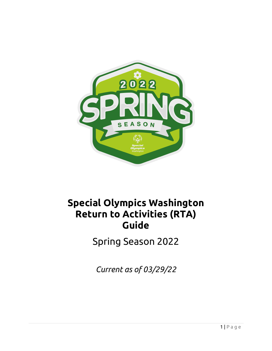

# **Special Olympics Washington Return to Activities (RTA) Guide**

Spring Season 2022

*Current as of 03/29/22*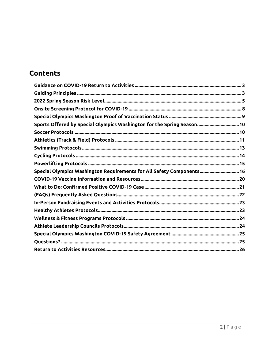# **Contents**

| Sports Offered by Special Olympics Washington for the Spring Season 10 |
|------------------------------------------------------------------------|
|                                                                        |
|                                                                        |
|                                                                        |
|                                                                        |
|                                                                        |
| Special Olympics Washington Requirements for All Safety Components 16  |
|                                                                        |
|                                                                        |
|                                                                        |
|                                                                        |
|                                                                        |
|                                                                        |
|                                                                        |
|                                                                        |
|                                                                        |
|                                                                        |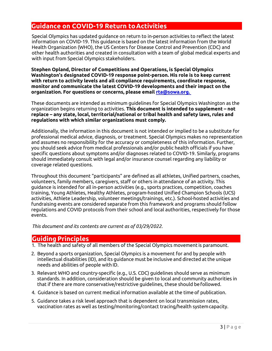# <span id="page-2-0"></span>**Guidance on COVID-19 Return toActivities**

Special Olympics has updated guidance on return to in-person activities to reflect the latest information on COVID-19. This guidance is based on the latest information from the World Health Organization (WHO), the US Centers for Disease Control and Prevention (CDC) and other health authorities and created in consultation with a team of global medical experts and with input from Special Olympics stakeholders.

**Stephen Opland, Director of Competitions and Operations, is Special Olympics Washington's designated COVID-19 response point-person. His role is to keep current with return to activity levels and all compliance requirements, coordinate response, monitor and communicate the latest COVID-19 developments and their impact on the organization. For questions or concerns, please email [rta@sowa.org.](mailto:rta@sowa.org.)** 

These documents are intended as minimum guidelines for Special Olympics Washington as the organization begins returning to activities. **This document is intended to supplement – not replace – any state, local, territorial/national or tribal health and safety laws, rules and regulations with which similar organizations must comply.**

Additionally, the information in this document is not intended or implied to be a substitute for professional medical advice, diagnosis, or treatment. Special Olympics makes no representation and assumes no responsibility for the accuracy or completeness of this information. Further, you should seek advice from medical professionals and/or public health officials if you have specific questions about symptoms and/or diagnoses related to COVID-19. Similarly, programs should immediately consult with legal and/or insurance counsel regarding any liability or coverage related questions.

Throughout this document "participants" are defined as all athletes, Unified partners, coaches, volunteers, family members, caregivers, staff or others in attendance of an activity. This guidance is intended for all in-person activities (e.g., sports practices, competition, coaches training, Young Athletes, Healthy Athletes, program-hosted Unified Champion Schools (UCS) activities, Athlete Leadership, volunteer meetings/trainings, etc.). School-hosted activities and fundraising events are considered separate from this framework and programs should follow regulations and COVID protocols from their school and local authorities, respectively for those events.

*This document and its contents are current as of 03/29/2022.*

## <span id="page-2-1"></span>**GuidingPrinciples**

- 1. The health and safety of all members of the Special Olympics movement is paramount.
- 2. Beyond a sports organization, Special Olympics is a movement for and by people with intellectual disabilities (ID), and its guidance must be inclusive and directed at the unique needs and abilities of people with ID.
- 3. Relevant WHO and country-specific (e.g., U.S. CDC) guidelines should serve as minimum standards. In addition, consideration should be given to local and community authorities in that if there are more conservative/restrictive guidelines, these should befollowed.
- 4. Guidance is based on current medical information available at the time of publication.
- 5. Guidance takes a risk level approach that is dependent on local transmission rates, vaccination rates as well as testing/monitoring/contact tracing/health systemcapacity.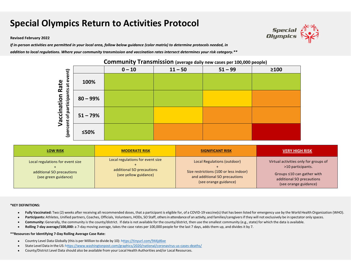# **Special Olympics Return to Activities Protocol**

#### **Revised February 2022**

If in-person activities are permitted in your local area, follow below guidance (color matrix) to determine protocols needed, in

addition to local regulations. Where your community transmission and vaccination rates intersect determines your risk category.\*\*



| <b>LOW RISK</b>                                                                       | <b>MODERATE RISK</b>                                                                   | <b>SIGNIFICANT RISK</b>                                                                                                         | <b>VERY HIGH RISK</b>                                                                                                                                |
|---------------------------------------------------------------------------------------|----------------------------------------------------------------------------------------|---------------------------------------------------------------------------------------------------------------------------------|------------------------------------------------------------------------------------------------------------------------------------------------------|
| Local regulations for event size<br>additional SO precautions<br>(see green guidance) | Local regulations for event size<br>additional SO precautions<br>(see yellow guidance) | Local Regulations (outdoor)<br>Size restrictions (100 or less indoor)<br>and additional SO precautions<br>(see orange guidance) | Virtual activities only for groups of<br>>10 participants.<br>Groups $\leq 10$ can gather with<br>additional SO precautions<br>(see orange guidance) |

#### **\*KEY DEFINITIONS:**

- Fully Vaccinated: Two (2) weeks after receiving all recommended doses, that a participant is eligible for, of a COVID-19 vaccine(s) that has been listed for emergency use by the World Health Organization (WHO).  $\bullet$
- Participants: Athletes, Unified partners, Coaches, Officials, Volunteers, HODs, SO Staff, others in attendance of an activity, and families/caregivers if they will not exclusively be in spectator only spaces.
- Community: Generally, the community is the county/district. If data is not available for the county/district, then use the smallest community (e.g., state) for which the data is available.  $\bullet$
- **Rolling 7-day average/100,000:** a 7-day moving average, takes the case rates per 100,000 people for the last 7 days, adds them up, and divides it by 7.

#### **\*\*Resources for Identifying 7-Day Rolling Average Case Rate:**

- Country Level Data Globally (this is per Million to divide by 10): https://tinyurl.com/944jd6xe  $\bullet$
- State Level Data in the US: https://[www.washingtonpost.com/graphics/2020/national/coronavirus](http://www.washingtonpost.com/graphics/2020/national/coronavirus-us-cases-deaths/)-us-cases-deaths/  $\bullet$
- County/District Level Data should also be available from your Local Health Authorities and/or Local Resources.  $\bullet$

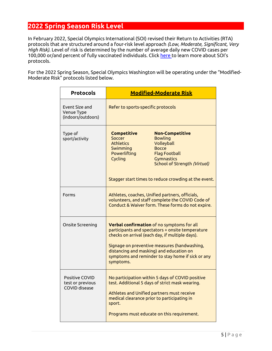# <span id="page-4-0"></span>**2022 Spring Season Risk Level**

In February 2022, Special Olympics International (SOI) revised their Return to Activities (RTA) protocols that are structured around a four-risk level approach *(Low, Moderate, Significant, Very High Risk)*. Level of risk is determined by the number of average daily new COVID cases per 100,000 or/and percent of fully vaccinated individuals. Click [here t](https://media.specialolympics.org/resources/covid-19/updated-return-to-activities-protocol-february-2022-full.pdf?_ga=2.133777358.1147809845.1648590712-1826207980.1638200292)o learn more about SOI's protocols.

For the 2022 Spring Season, Special Olympics Washington will be operating under the "Modified-Moderate Risk" protocols listed below.

| <b>Protocols</b>                                           | <b>Modified-Moderate Risk</b>                                                                                                                                                                                                                                                                                   |  |  |
|------------------------------------------------------------|-----------------------------------------------------------------------------------------------------------------------------------------------------------------------------------------------------------------------------------------------------------------------------------------------------------------|--|--|
| Event Size and<br>Venue Type<br>(indoors/outdoors)         | Refer to sports-specific protocols                                                                                                                                                                                                                                                                              |  |  |
| Type of<br>sport/activity                                  | <b>Competitive</b><br><b>Non-Competitive</b><br>Soccer<br><b>Bowling</b><br><b>Athletics</b><br>Volleyball<br>Swimming<br><b>Bocce</b><br>Powerlifting<br><b>Flag Football</b><br>Cycling<br>Gymnastics<br>School of Strength (Virtual)<br>Stagger start times to reduce crowding at the event.                 |  |  |
| Forms                                                      | Athletes, coaches, Unified partners, officials,<br>volunteers, and staff complete the COVID Code of<br>Conduct & Waiver form. These forms do not expire.                                                                                                                                                        |  |  |
| Onsite Screening                                           | Verbal confirmation of no symptoms for all<br>participants and spectators + onsite temperature<br>checks on arrival (each day, if multiple days).<br>Signage on preventive measures (handwashing,<br>distancing and masking) and education on<br>symptoms and reminder to stay home if sick or any<br>symptoms. |  |  |
| Positive COVID<br>test or previous<br><b>COVID</b> disease | No participation within 5 days of COVID positive<br>test. Additional 5 days of strict mask wearing.<br>Athletes and Unified partners must receive<br>medical clearance prior to participating in<br>sport.<br>Programs must educate on this requirement.                                                        |  |  |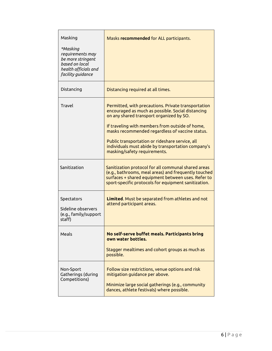| Masking<br>*Masking<br>requirements may<br>be more stringent<br>based on local<br>health officials and<br>facility guidance | Masks recommended for ALL participants.                                                                                                                                                                                                                                                                                                                                                             |
|-----------------------------------------------------------------------------------------------------------------------------|-----------------------------------------------------------------------------------------------------------------------------------------------------------------------------------------------------------------------------------------------------------------------------------------------------------------------------------------------------------------------------------------------------|
| Distancing                                                                                                                  | Distancing required at all times.                                                                                                                                                                                                                                                                                                                                                                   |
| Travel                                                                                                                      | Permitted, with precautions. Private transportation<br>encouraged as much as possible. Social distancing<br>on any shared transport organized by SO.<br>If traveling with members from outside of home,<br>masks recommended regardless of vaccine status.<br>Public transportation or rideshare service, all<br>individuals must abide by transportation company's<br>masking/safety requirements. |
| Sanitization                                                                                                                | Sanitization protocol for all communal shared areas<br>(e.g., bathrooms, meal areas) and frequently touched<br>surfaces + shared equipment between uses. Refer to<br>sport-specific protocols for equipment sanitization.                                                                                                                                                                           |
| Spectators<br>Sideline observers<br>(e.g., family/support<br>staff)                                                         | Limited. Must be separated from athletes and not<br>attend participant areas.                                                                                                                                                                                                                                                                                                                       |
| Meals                                                                                                                       | No self-serve buffet meals. Participants bring<br>own water bottles.<br>Stagger mealtimes and cohort groups as much as<br>possible.                                                                                                                                                                                                                                                                 |
| Non-Sport<br>Gatherings (during<br>Competitions)                                                                            | Follow size restrictions, venue options and risk<br>mitigation guidance per above.<br>Minimize large social gatherings (e.g., community<br>dances, athlete festivals) where possible.                                                                                                                                                                                                               |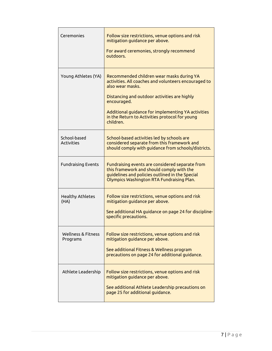| Ceremonies                        | Follow size restrictions, venue options and risk<br>mitigation guidance per above.<br>For award ceremonies, strongly recommend<br>outdoors.                                                                                                                                                               |
|-----------------------------------|-----------------------------------------------------------------------------------------------------------------------------------------------------------------------------------------------------------------------------------------------------------------------------------------------------------|
| Young Athletes (YA)               | Recommended children wear masks during YA<br>activities. All coaches and volunteers encouraged to<br>also wear masks.<br>Distancing and outdoor activities are highly<br>encouraged.<br>Additional guidance for implementing YA activities<br>in the Return to Activities protocol for young<br>children. |
| School-based<br><b>Activities</b> | School-based activities led by schools are<br>considered separate from this framework and<br>should comply with guidance from schools/districts.                                                                                                                                                          |
| <b>Fundraising Events</b>         | Fundraising events are considered separate from<br>this framework and should comply with the<br>guidelines and policies outlined in the Special<br>Olympics Washington RTA Fundraising Plan.                                                                                                              |
| <b>Healthy Athletes</b><br>(HA)   | Follow size restrictions, venue options and risk<br>mitigation guidance per above.<br>See additional HA guidance on page 24 for discipline-<br>specific precautions.                                                                                                                                      |
| Wellness & Fitness<br>Programs    | Follow size restrictions, venue options and risk<br>mitigation guidance per above.<br>See additional Fitness & Wellness program<br>precautions on page 24 for additional guidance.                                                                                                                        |
| Athlete Leadership                | Follow size restrictions, venue options and risk<br>mitigation guidance per above.<br>See additional Athlete Leadership precautions on<br>page 25 for additional guidance.                                                                                                                                |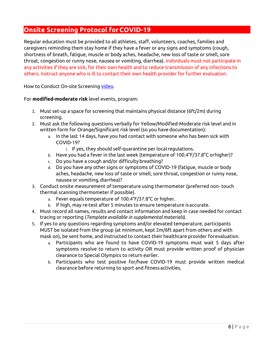# <span id="page-7-0"></span>**Onsite Screening Protocol forCOVID-19**

Regular education must be provided to all athletes, staff, volunteers, coaches, families and caregivers reminding them stay home if they have a fever or any signs and symptoms (cough, shortness of breath, fatigue, muscle or body aches, headache, new loss of taste or smell, sore throat, congestion or runny nose, nausea or vomiting, diarrhea). Individuals must not participate in any activities if they are sick, for their own health and to reduce transmission of any infections to others. Instruct anyone who is ill to contact their own health provider for further evaluation.

How to Conduct On-site Screenin[g video.](https://www.youtube.com/watch?v=snIfhH6uLK0)

#### For **modified-moderate risk** level events, program:

- 1. Must set-up a space for screening that maintains physical distance (6ft/2m) during screening.
- 2. Must ask the following questions verbally for Yellow/Modified-Moderate risk level and in written form for Orange/Significant risk level (so you have documentation):
	- a. In the last 14 days, have you had contact with someone who has been sick with COVID-19?
		- i. If yes, they should self-quarantine per local regulations.
	- b. Have you had a fever in the last week (temperature of 100.4°F/37.8°C orhigher)?
	- c. Do you have a cough and/or difficultybreathing?
	- d. Do you have any other signs or symptoms of COVID-19 (fatigue, muscle or body aches, headache, new loss of taste or smell, sore throat, congestion or runny nose, nausea or vomiting,diarrhea)?
- 3. Conduct onsite measurement of temperature using thermometer (preferred non- touch thermal scanning thermometer if possible).
	- a. Fever equals temperature of 100.4°F/37.8°C or higher.
	- b. If high, may re-test after 5 minutes to ensure temperature isaccurate.
- 4. Must record all names, results and contact information and keep in case needed for contact tracing or reporting (*Template available in supplemental materials*).
- 5. If yes to any questions regarding symptoms and/or elevated temperature, participants MUST be isolated from the group (at minimum, kept 2m/6ft apart from others and with mask on), be sent home, and instructed to contact their healthcare provider forevaluation.
	- a. Participants who are found to have COVID-19 symptoms must wait 5 days after symptoms resolve to return to activity OR must provide written proof of physician clearance to Special Olympics to return earlier.
	- b. Participants who test positive for/have COVID-19 must provide written medical clearance before returning to sport and fitness activities.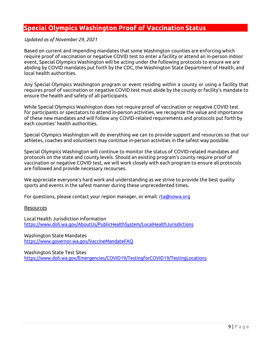# <span id="page-8-0"></span>**Special Olympics Washington Proof of Vaccination Status**

#### *Updated as of November 29, 2021*

Based on current and impending mandates that some Washington counties are enforcing which require proof of vaccination or negative COVID test to enter a facility or attend an in-person indoor event, Special Olympics Washington will be acting under the following protocols to ensure we are abiding by COVID mandates put forth by the CDC, the Washington State Department of Health, and local health authorities.

Any Special Olympics Washington program or event residing within a county or using a facility that requires proof of vaccination or negative COVID test must abide by the county or facility's mandate to ensure the health and safety of all participants.

While Special Olympics Washington does not require proof of vaccination or negative COVID test for participants or spectators to attend in-person activities, we recognize the value and importance of these new mandates and will follow any COVID-related requirements and protocols put forth by each counties' health authorities.

Special Olympics Washington will do everything we can to provide support and resources so that our athletes, coaches and volunteers may continue in-person activities in the safest way possible.

Special Olympics Washington will continue to monitor the status of COVID-related mandates and protocols on the state and county levels. Should an existing program's county require proof of vaccination or negative COVID test, we will work closely with each program to ensure all protocols are followed and provide necessary recourses.

We appreciate everyone's hard work and understanding as we strive to provide the best quality sports and events in the safest manner during these unprecedented times.

For questions, please contact your region manager, or email: [rta@sowa.org](mailto:rta@sowa.org)

#### Resources

Local Health Jurisdiction Information <https://www.doh.wa.gov/AboutUs/PublicHealthSystem/LocalHealthJurisdictions>

Washington State Mandates <https://www.governor.wa.gov/VaccineMandateFAQ>

Washington State Test Sites <https://www.doh.wa.gov/Emergencies/COVID19/TestingforCOVID19/TestingLocations>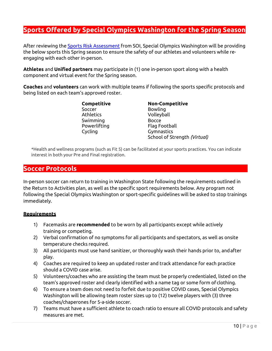# <span id="page-9-0"></span>**Sports Offered by Special Olympics Washington for the Spring Season**

After reviewing the **[Sports Risk Assessment](https://specialolympicswashington.org/wp-content/uploads/Return-To-Activities-Resources-for-Sport-Risk-2021.pdf)** from SOI, Special Olympics Washington will be providing the below sports this Spring season to ensure the safety of our athletes and volunteers while reengaging with each other in-person.

**Athletes** and **Unified partners** may participate in (1) one in-person sport along with a health component and virtual event for the Spring season.

**Coaches** and **volunteers** can work with multiple teams if following the sports specific protocols and being listed on each team's approved roster.

> Soccer Bowling Athletics Volleyball Swimming Bocce Powerlifting Flag Football Cycling Gymnastics

**Competitive Non-Competitive** School of Strength *(Virtual)*

\*Health and wellness programs (such as Fit 5) can be facilitated at your sports practices. You can indicate interest in both your Pre and Final registration.

## <span id="page-9-1"></span>**Soccer Protocols**

In-person soccer can return to training in Washington State following the requirements outlined in the Return to Activities plan, as well as the specific sport requirements below. Any program not following the Special Olympics Washington or sport-specific guidelines will be asked to stop trainings immediately.

#### **Requirements**

- 1) Facemasks are **recommended** to be worn by all participants except while actively training or competing.
- 2) Verbal confirmation of no symptoms for all participants and spectators, as well as onsite temperature checks required.
- 3) All participants must use hand sanitizer, or thoroughly wash their hands prior to, andafter play.
- 4) Coaches are required to keep an updated roster and track attendance for each practice should a COVID case arise.
- 5) Volunteers/coaches who are assisting the team must be properly credentialed, listed on the team's approved roster and clearly identified with a name tag or some form of clothing.
- 6) To ensure a team does not need to forfeit due to positive COVID cases, Special Olympics Washington will be allowing team roster sizes up to (12) twelve players with (3) three coaches/chaperones for 5-a-side soccer.
- 7) Teams must have a sufficient athlete to coach ratio to ensure all COVID protocols and safety measures are met.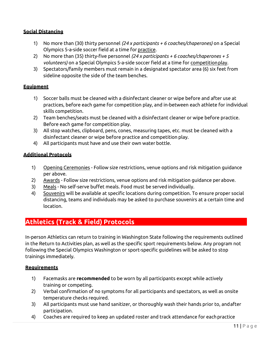#### **Social Distancing**

- 1) No more than (30) thirty personnel *(24 x participants + 6 coaches/chaperones)* on a Special Olympics 5-a-side soccer field at a time for practice.
- 2) No more than (35) thirty-five personnel *(24 x participants + 6 coaches/chaperones + 5 volunteers)* on a Special Olympics 5-a-side soccer field at a time for competitionplay.
- 3) Spectators/family members must remain in a designated spectator area (6) six feet from sideline opposite the side of the team benches.

#### **Equipment**

- 1) Soccer balls must be cleaned with a disinfectant cleaner or wipe before and after use at practices, before each game for competition play, and in-between each athlete for individual skills competition.
- 2) Team benches/seats must be cleaned with a disinfectant cleaner or wipe before practice. Before each game for competition play.
- 3) All stop watches, clipboard, pens, cones, measuring tapes, etc. must be cleaned with a disinfectant cleaner or wipe before practice and competition play.
- 4) All participants must have and use their own water bottle.

#### **Additional Protocols**

- 1) Opening Ceremonies Follow size restrictions, venue options and risk mitigation guidance per above.
- 2) Awards Follow size restrictions, venue options and risk mitigation guidance per above.
- 3) Meals No self-serve buffet meals. Food must be served individually.
- 4) Souvenirs will be available at specific locations during competition. To ensure proper social distancing, teams and individuals may be asked to purchase souvenirs at a certain time and location.

# <span id="page-10-0"></span>**Athletics (Track & Field) Protocols**

In-person Athletics can return to training in Washington State following the requirements outlined in the Return to Activities plan, as well as the specific sport requirements below. Any program not following the Special Olympics Washington or sport-specific guidelines will be asked to stop trainings immediately.

#### **Requirements**

- 1) Facemasks are **recommended** to be worn by all participants except while actively training or competing.
- 2) Verbal confirmation of no symptoms for all participants and spectators, as well as onsite temperature checks required.
- 3) All participants must use hand sanitizer, or thoroughly wash their hands prior to, andafter participation.
- 4) Coaches are required to keep an updated roster and track attendance for eachpractice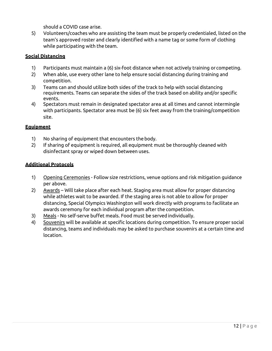should a COVID case arise.

5) Volunteers/coaches who are assisting the team must be properly credentialed, listed on the team's approved roster and clearly identified with a name tag or some form of clothing while participating with the team.

#### **Social Distancing**

- 1) Participants must maintain a (6) six-foot distance when not actively training or competing.
- 2) When able, use every other lane to help ensure social distancing during training and competition.
- 3) Teams can and should utilize both sides of the track to help with social distancing requirements. Teams can separate the sides of the track based on ability and/or specific events.
- 4) Spectators must remain in designated spectator area at all times and cannot intermingle with participants. Spectator area must be (6) six feet away from the training/competition site.

#### **Equipment**

- 1) No sharing of equipment that encounters the body.
- 2) If sharing of equipment is required, all equipment must be thoroughly cleaned with disinfectant spray or wiped down between uses.

- 1) Opening Ceremonies Follow size restrictions, venue options and risk mitigation guidance per above.
- 2) Awards Will take place after each heat. Staging area must allow for proper distancing while athletes wait to be awarded. If the staging area is not able to allow for proper distancing, Special Olympics Washington will work directly with programs to facilitate an awards ceremony for each individual program after the competition.
- 3) Meals No self-serve buffet meals. Food must be served individually.
- 4) Souvenirs will be available at specific locations during competition. To ensure proper social distancing, teams and individuals may be asked to purchase souvenirs at a certain time and location.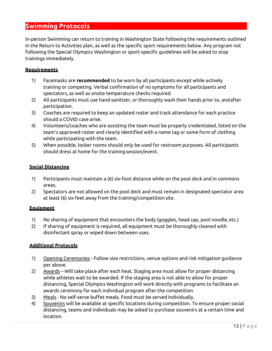# <span id="page-12-0"></span>**Swimming Protocols**

In-person Swimming can return to training in Washington State following the requirements outlined in the Return to Activities plan, as well as the specific sport requirements below. Any program not following the Special Olympics Washington or sport-specific guidelines will be asked to stop trainings immediately.

#### **Requirements**

- 1) Facemasks are **recommended** to be worn by all participants except while actively training or competing. Verbal confirmation of no symptoms for all participants and spectators, as well as onsite temperature checks required.
- 2) All participants must use hand sanitizer, or thoroughly wash their hands prior to, andafter participation.
- 3) Coaches are required to keep an updated roster and track attendance for each practice should a COVID case arise.
- 4) Volunteers/coaches who are assisting the team must be properly credentialed, listed on the team's approved roster and clearly identified with a name tag or some form of clothing while participating with the team.
- 5) When possible, locker rooms should only be used for restroom purposes. All participants should dress at home for the training session/event.

#### **Social Distancing**

- 1) Participants must maintain a (6) six-foot distance while on the pool deck and in commons areas.
- 2) Spectators are not allowed on the pool deck and must remain in designated spectator area at least (6) six feet away from the training/competition site.

#### **Equipment**

- 1) No sharing of equipment that encounters the body (goggles, head cap, pool noodle,etc.)
- 2) If sharing of equipment is required, all equipment must be thoroughly cleaned with disinfectant spray or wiped down between uses.

- 1) Opening Ceremonies Follow size restrictions, venue options and risk mitigation guidance per above.
- 2) Awards Will take place after each heat. Staging area must allow for proper distancing while athletes wait to be awarded. If the staging area is not able to allow for proper distancing, Special Olympics Washington will work directly with programs to facilitate an awards ceremony for each individual program after the competition.
- 3) Meals No self-serve buffet meals. Food must be served individually.
- 4) Souvenirs will be available at specific locations during competition. To ensure proper social distancing, teams and individuals may be asked to purchase souvenirs at a certain time and location.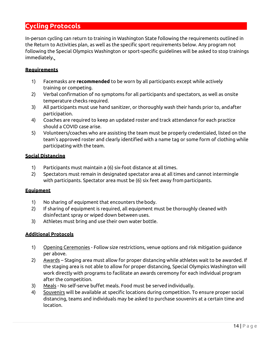# <span id="page-13-0"></span>**Cycling Protocols**

In-person cycling can return to training in Washington State following the requirements outlined in the Return to Activities plan, as well as the specific sport requirements below. Any program not following the Special Olympics Washington or sport-specific guidelines will be asked to stop trainings immediately.

#### **Requirements**

- 1) Facemasks are **recommended** to be worn by all participants except while actively training or competing.
- 2) Verbal confirmation of no symptoms for all participants and spectators, as well as onsite temperature checks required.
- 3) All participants must use hand sanitizer, or thoroughly wash their hands prior to, andafter participation.
- 4) Coaches are required to keep an updated roster and track attendance for each practice should a COVID case arise.
- 5) Volunteers/coaches who are assisting the team must be properly credentialed, listed on the team's approved roster and clearly identified with a name tag or some form of clothing while participating with the team.

#### **Social Distancing**

- 1) Participants must maintain a (6) six-foot distance at all times.
- 2) Spectators must remain in designated spectator area at all times and cannot intermingle with participants. Spectator area must be (6) six feet away from participants.

#### **Equipment**

- 1) No sharing of equipment that encounters thebody.
- 2) If sharing of equipment is required, all equipment must be thoroughly cleaned with disinfectant spray or wiped down between uses.
- 3) Athletes must bring and use their own water bottle.

- 1) Opening Ceremonies Follow size restrictions, venue options and risk mitigation guidance per above.
- 2) Awards Staging area must allow for proper distancing while athletes wait to be awarded. If the staging area is not able to allow for proper distancing, Special Olympics Washington will work directly with programs to facilitate an awards ceremony for each individual program after the competition.
- 3) Meals No self-serve buffet meals. Food must be served individually.
- 4) Souvenirs will be available at specific locations during competition. To ensure proper social distancing, teams and individuals may be asked to purchase souvenirs at a certain time and location.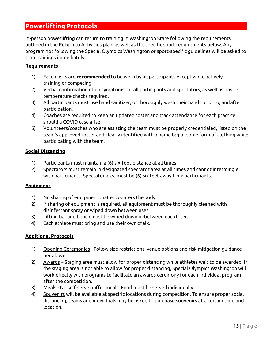# <span id="page-14-0"></span>**Powerlifting Protocols**

In-person powerlifting can return to training in Washington State following the requirements outlined in the Return to Activities plan, as well as the specific sport requirements below. Any program not following the Special Olympics Washington or sport-specific guidelines will be asked to stop trainings immediately.

#### **Requirements**

- 1) Facemasks are **recommended** to be worn by all participants except while actively training or competing.
- 2) Verbal confirmation of no symptoms for all participants and spectators, as well as onsite temperature checks required.
- 3) All participants must use hand sanitizer, or thoroughly wash their hands prior to, andafter participation.
- 4) Coaches are required to keep an updated roster and track attendance for each practice should a COVID case arise.
- 5) Volunteers/coaches who are assisting the team must be properly credentialed, listed on the team's approved roster and clearly identified with a name tag or some form of clothing while participating with the team.

#### **Social Distancing**

- 1) Participants must maintain a (6) six-foot distance at all times.
- 2) Spectators must remain in designated spectator area at all times and cannot intermingle with participants. Spectator area must be (6) six feet away from participants.

#### **Equipment**

- 1) No sharing of equipment that encounters the body.
- 2) If sharing of equipment is required, all equipment must be thoroughly cleaned with disinfectant spray or wiped down between uses.
- 3) Lifting bar and bench must be wiped down in-between each lifter.
- 4) Each athlete must bring and use their own chalk.

- 1) Opening Ceremonies Follow size restrictions, venue options and risk mitigation guidance per above.
- 2) Awards Staging area must allow for proper distancing while athletes wait to be awarded. If the staging area is not able to allow for proper distancing, Special Olympics Washington will work directly with programs to facilitate an awards ceremony for each individual program after the competition.
- 3) Meals No self-serve buffet meals. Food must be served individually.
- 4) Souvenirs will be available at specific locations during competition. To ensure proper social distancing, teams and individuals may be asked to purchase souvenirs at a certain time and location.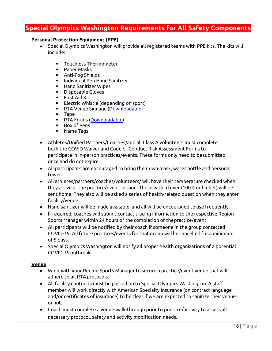# <span id="page-15-0"></span>**Special Olympics Washington Requirements for All Safety Components**

#### **Personal Protection Equipment (PPE)**

- Special Olympics Washington will provide all registered teams with PPE kits. The kits will include:
	- **Touchless Thermometer**
	- **Paper Masks**
	- Anti-Fog Shields
	- **-** Individual Pen Hand Sanitizer
	- **Hand Sanitizer Wipes**
	- Disposable Gloves
	- First Aid Kit<br>■ Electric Whis
	- Electric Whistle (depending on sport)
	- **RTA Venue Signage [\(Downloadable\)](https://specialolympicswashington.org/wp-content/uploads/RTA-Signage.pdf)**
	- Tape
	- **RTA Forms [\(Downloadable\)](https://specialolympicswashington.org/return-to-activities/)**
	- Box of Pens
	- Name Tags
- Athletes/Unified Partners/Coaches/and all Class A volunteers must complete both the COVID Waiver and Code of Conduct Risk Assessment Forms to participate in in-person practices/events. These forms only need to besubmitted once and do not expire.
- All participants are encouraged to bring their own mask, water bottle and personal towel.
- All athletes/partners/coaches/volunteers/ will have their temperature checked when they arrive at the practice/event session. Those with a fever (100.4 or higher) will be sent home. They also will be asked a series of health-related question when they enter facility/venue.
- Hand sanitizer will be made available, and all will be encouraged to use frequently.
- If required, coaches will submit contact tracing information to the respective Region Sports Manager within 24 hours of the completion of thepractice/event.
- All participants will be notified by their coach if someone in the group contacted COVID-19. All future practices/events for that group will be cancelled for a minimum of 5 days.
- Special Olympics Washington will notify all proper health organizations of a potential COVID-19outbreak.

#### **Venue**

- Work with your Region Sports Manager to secure a practice/event venue that will adhere to all RTAprotocols.
- All facility contracts must be passed on to Special Olympics Washington. A staff member will work directly with American Specialty Insurance (on contract language and/or certificates of insurance) to be clear if we are expected to sanitize their venue ornot.
- Coach must complete a venue walk-through prior to practice/activity to assess all necessary protocol, safety and activity modification needs.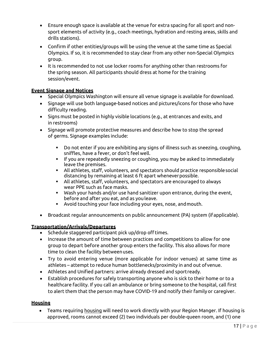- Ensure enough space is available at the venue for extra spacing for all sport and nonsport elements of activity (e.g., coach meetings, hydration and resting areas, skills and drills stations).
- Confirm if other entities/groups will be using the venue at the same time as Special Olympics. If so, it is recommended to stay clear from any other non-Special Olympics group.
- It is recommended to not use locker rooms for anything other than restrooms for the spring season. All participants should dress at home for the training session/event.

#### **Event Signage and Notices**

- Special Olympics Washington will ensure all venue signage is available fordownload.
- Signage will use both language-based notices and pictures/icons for those who have difficulty reading.
- Signs must be posted in highly visible locations (e.g., at entrances and exits, and in restrooms)
- Signage will promote protective measures and describe how to [stop the spread](https://www.cdc.gov/coronavirus/2019-ncov/downloads/stop-the-spread-of-germs-11x17-en.pdf) of germs. Signage examples include:
	- Do not enter if you are exhibiting any signs of illness such as sneezing, coughing, sniffles, have a fever, or don't feelwell.
	- If you are repeatedly sneezing or coughing, you may be asked to immediately leave the premises.
	- All athletes, staff, volunteers, and spectators should practice responsiblesocial distancing by remaining at least 6 ft apart wheneverpossible.
	- All athletes, staff, volunteers, and spectators are encouraged to always wear PPE such as face masks.
	- Wash your hands and/or use hand sanitizer upon entrance, during the event, before and after you eat, and as youleave.
	- Avoid touching your face including your eyes, nose, andmouth.
- Broadcast regular announcements on public announcement (PA) system (if applicable).

#### **Transportation/Arrivals/Departures**

- Schedule staggered participant pick up/drop off times.
- Increase the amount of time between practices and competitions to allow for one group to depart before another group enters the facility. This also allows for more time to clean the facility betweenuses.
- Try to avoid entering venue (more applicable for indoor venues) at same time as athletes – attempt to reduce human bottlenecks/proximity in and out ofvenue.
- Athletes and Unified partners: arrive already dressed and sportready.
- Establish procedures for safely transporting anyone who is sick to their home or to a healthcare facility. If you call an ambulance or bring someone to the hospital, call first to alert them that the person may have COVID-19 and notify their family or caregiver.

#### **Housing**

• Teams requiring housing will need to work directly with your Region Manger. If housing is approved, rooms cannot exceed (2) two individuals per double-queen room, and (1) one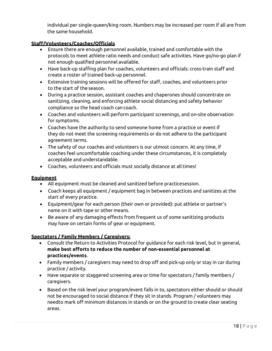individual per single-queen/king room. Numbers may be increased per room if all are from the same household.

#### **Staff/Volunteers/Coaches/Officials**

- Ensure there are enough personnel available, trained and comfortable with the protocols to meet athlete ratio needs and conduct safe activities. Have go/no-go plan if not enough qualified personnel available.
- Have back-up staffing plan for coaches, volunteers and officials: cross-train staff and create a roster of trained back-up personnel.
- Extensive training sessions will be offered for staff, coaches, and volunteers prior to the start of the season.
- During a practice session, assistant coaches and chaperones should concentrate on sanitizing, cleaning, and enforcing athlete social distancing and safety behavior compliance so the head coach can coach.
- Coaches and volunteers will perform participant screenings, and on-site observation for symptoms.
- Coaches have the authority to send someone home from a practice or event if they do not meet the screening requirements or do not adhere to the participant agreement terms.
- The safety of our coaches and volunteers is our utmost concern. At any time, if coaches feel uncomfortable coaching under these circumstances, it is completely acceptable and understandable.
- Coaches, volunteers and officials must socially distance at all times!

#### **Equipment**

- All equipment must be cleaned and sanitized before practicesession.
- Coach keeps all equipment / equipment bag in between practices and sanitizes at the start of every practice.
- Equipment/gear for each person (their own or provided): put athlete or partner's name on it with tape or other means.
- Be aware of any damaging effects from frequent us of some sanitizing products may have on certain forms of gear or equipment.

#### **Spectators / Family Members / Caregivers:**

- Consult the Return to Activities Protocol for guidance for each risk level, but in general, **make best efforts to reduce the number of non-essential personnel at practices/events**.
- Family members / caregivers may need to drop off and pick-up only or stay in car during practice / activity.
- Have separate or staggered screening area or time for spectators / family members / caregivers.
- Based on the risk level your program/event falls in to, spectators either should or should not be encouraged to social distance if they sit in stands. Program / volunteers may needto mark off minimum distances in stands or on the ground to create clear seating areas.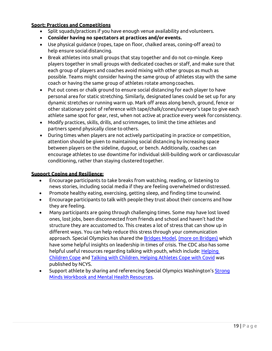#### **Sport: Practices and Competitions**

- Split squads/practices if you have enough venue availability and volunteers.
- **Consider having no spectators at practices and/or events.**
- Use physical guidance (ropes, tape on floor, chalked areas, coning-off areas) to help ensure social distancing.
- Break athletes into small groups that stay together and do not co-mingle. Keep players together in small groups with dedicated coaches or staff, and make sure that each group of players and coaches avoid mixing with other groups as much as possible. Teams might consider having the same group of athletes stay with the same coach or having the same group of athletes rotate amongcoaches.
- Put out cones or chalk ground to ensure social distancing for each player to have personal area for static stretching. Similarly, designated lanes could be set up for any dynamic stretches or running warm up. Mark off areas along bench, ground, fence or other stationary point of reference with tape/chalk/cones/surveyor's tape to give each athlete same spot for gear, rest, when not active at practice every week forconsistency.
- Modify practices, skills, drills, and scrimmages, to limit the time athletes and partners spend physically close to others.
- During times when players are not actively participating in practice or competition, attention should be given to maintaining [social distancing b](https://www.cdc.gov/coronavirus/2019-ncov/prevent-getting-sick/social-distancing.html)y increasing space between players on the sideline, dugout, or bench. Additionally, coaches can encourage athletes to use downtime for individual skill-building work or cardiovascular conditioning, rather than staying clusteredtogether.

#### **Support Coping and Resilience:**

- Encourage participants to take breaks from watching, reading, or listening to news stories, including social media if they are feeling overwhelmed ordistressed.
- Promote healthy eating, exercising, getting sleep, and finding time tounwind.
- Encourage participants to talk with people they trust about their concerns and how they are feeling.
- Many participants are going through challenging times. Some may have lost loved ones, lost jobs, been disconnected from friends and school and haven't had the structure they are accustomed to. This creates a lot of stress that can show up in different ways. You can help reduce this stress through your communication approach. Special Olympics has shared the [Bridges Model,](https://media.specialolympics.org/resources/covid-19/Leading-Your-People-Through-Transition-Bridges-Model.pdf?_ga=2.178401828.1039174290.1590242434-2036986329.1590242434) [\(more on Bridges\)](https://www.mindtools.com/pages/article/bridges-transition-model.htm) which have some helpful insights on leadership in times of crisis. The CDC also has some helpful useful resources regarding talking with youth, which include: [Helping](https://www.cdc.gov/coronavirus/2019-ncov/daily-life-coping/for-parents.html) [Children](https://www.cdc.gov/coronavirus/2019-ncov/daily-life-coping/for-parents.html) [Cope](https://www.cdc.gov/coronavirus/2019-ncov/daily-life-coping/for-parents.html) and [Talking with Children](https://www.cdc.gov/coronavirus/2019-ncov/daily-life-coping/talking-with-children.html?CDC_AA_refVal=https%3A%2F%2Fwww.cdc.gov%2Fcoronavirus%2F2019-ncov%2Fcommunity%2Fschools-childcare%2Ftalking-with-children.html)[. Helping Athletes Cope with Covid](https://www.ncys.org/helping-youth-athletes-cope-with-shutdown-from-covid-19/) was published by NCYS.
- Support athlete by sharing and referencing Special Olympics Washington's [Strong](http://specialolympicswashington.org/wp-content/uploads/CB0001437-50-20_FINAL_SOWA-Mental-Health-Resource-Guide_ADA.pdf) [Minds Workbook and Mental Health](http://specialolympicswashington.org/wp-content/uploads/CB0001437-50-20_FINAL_SOWA-Mental-Health-Resource-Guide_ADA.pdf) Resources.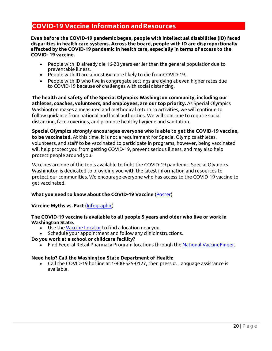# <span id="page-19-0"></span>**COVID-19 Vaccine Information andResources**

**Even before the COVID-19 pandemic began, people with intellectual disabilities (ID) faced disparities in health care systems. Across the board, people with ID are disproportionally affected by the COVID-19 pandemic in health care, especially in terms of access to the COVID- 19 vaccine.**

- People with ID already die 16-20 years earlier than the general populationdue to preventable illness.
- People with ID are almost 6x more likely to die fromCOVID-19.
- People with ID who live in congregate settings are dying at even higher rates due to COVID-19 because of challenges with social distancing.

**The health and safety of the Special Olympics Washington community, including our athletes, coaches, volunteers, and employees, are our top priority.** As Special Olympics Washington makes a measured and methodical return to activities, we will continue to follow guidance from national and local authorities. We will continue to require social distancing, face coverings, and promote healthy hygiene and sanitation.

**Special Olympics strongly encourages everyone who is able to get the COVID-19 vaccine, to be vaccinated.** At this time, it is not a requirement for Special Olympics athletes, volunteers, and staff to be vaccinated to participate in programs, however, being vaccinated will help protect you from getting COVID-19, prevent serious illness, and may also help protect people around you.

Vaccines are one of the tools available to fight the COVID-19 pandemic. Special Olympics Washington is dedicated to providing you with the latest information and resources to protect our communities. We encourage everyone who has access to the COVID-19 vaccine to get vaccinated.

#### **What you need to know about the COVID-19 Vaccine** [\(Poster\)](https://specialolympicswashington.org/wp-content/uploads/What-you-need-to-know-about-the-COVID-19-vaccine-Poster-US.pdf)

#### **Vaccine Myths vs. Fact** [\(Infographic\)](https://media.specialolympics.org/resources/covid-19/US-Vaccine-Myth-vs-Fact.pdf?_ga=2.131944911.1752227257.1628611544-1953206395.1605917964)

#### **The COVID-19 vaccine is available to all people 5 years and older who live or work in Washington State.**

- Use the [Vaccine Locator](https://vaccinelocator.doh.wa.gov/) to find a location nearyou.
- Schedule your appointment and follow any clinic instructions.

#### **Do you work at a school or childcare facility?**

• Find Federal Retail Pharmacy Program locations through the [National VaccineFinder.](http://vaccinefinder.org/)

#### **Need help? Call the Washington State Department of Health:**

• Call the COVID-19 hotline at 1-800-525-0127, then press #. Language assistance is available.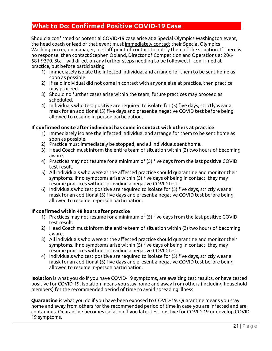# <span id="page-20-0"></span>**What to Do: Confirmed Positive COVID-19 Case**

Should a confirmed or potential COVID-19 case arise at a Special Olympics Washington event, the head coach or lead of that event must immediately contact their Special Olympics Washington region manager, or staff point of contact to notify them of the situation. If there is no response, then contact Stephen Opland, Director of Competition and Operations at 206- 681-9370. Staff will direct on any further steps needing to be followed. If confirmed at practice, but before participating

- 1) Immediately isolate the infected individual and arrange for them to be sent home as soon as possible.
- 2) If said individual did not come in contact with anyone else at practice, then practice may proceed.
- 3) Should no further cases arise within the team, future practices may proceed as scheduled.
- 4) Individuals who test positive are required to isolate for (5) five days, strictly wear a mask for an additional (5) five days and present a negative COVID test before being allowed to resume in-person participation.

#### **If confirmed onsite after individual has come in contact with others at practice**

- 1) Immediately isolate the infected individual and arrange for them to be sent home as soon as possible.
- 2) Practice must immediately be stopped, and all individuals sent home.
- 3) Head Coach must inform the entire team of situation within (2) two hours of becoming aware.
- 4) Practices may not resume for a minimum of (5) five days from the last positive COVID test result.
- 5) All individuals who were at the affected practice should quarantine and monitor their symptoms. If no symptoms arise within (5) five days of being in contact, they may resume practices without providing a negative COVID test.
- 6) Individuals who test positive are required to isolate for (5) five days, strictly wear a mask for an additional (5) five days and present a negative COVID test before being allowed to resume in-person participation.

#### **If confirmed within 48 hours after practice**

- 1) Practices may not resume for a minimum of (5) five days from the last positive COVID test result.
- 2) Head Coach must inform the entire team of situation within (2) two hours of becoming aware.
- 3) All individuals who were at the affected practice should quarantine and monitor their symptoms. If no symptoms arise within (5) five days of being in contact, they may resume practices without providing a negative COVID test.
- 4) Individuals who test positive are required to isolate for (5) five days, strictly wear a mask for an additional (5) five days and present a negative COVID test before being allowed to resume in-person participation.

**Isolation** is what you do if you have COVID-19 symptoms, are awaiting test results, or have tested positive for COVID-19. Isolation means you stay home and away from others (including household members) for the recommended period of time to avoid spreading illness.

**Quarantine** is what you do if you have been exposed to COVID-19. Quarantine means you stay home and away from others for the recommended period of time in case you are infected and are contagious. Quarantine becomes isolation if you later test positive for COVID-19 or develop COVID-19 symptoms.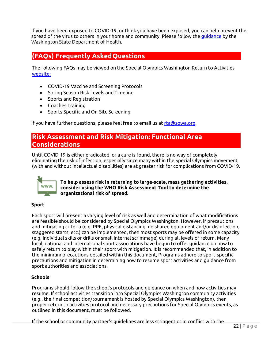If you have been exposed to COVID-19, or think you have been exposed, you can help prevent the spread of the virus to others in your home and community. Please follow the [guidance](https://www.doh.wa.gov/Emergencies/COVID19/CaseInvestigationsandContactTracing/IsolationandQuarantineforCOVID19) by the Washington State Department of Health.

# <span id="page-21-0"></span>**(FAQs) Frequently AskedQuestions**

The following FAQs may be viewed on the Special Olympics Washington Return to Activities website:

- COVID-19 Vaccine and Screening Protocols
- Spring Season Risk Levels and Timeline
- Sports and Registration
- Coaches Training
- Sports Specific and On-Site Screening

If you have further questions, please feel free to email us at [rta@sowa.org.](mailto:rta@sowa.org)

# **Risk Assessment and Risk Mitigation: Functional Area Considerations**

Until COVID-19 is either eradicated, or a cure is found, there is no way of completely eliminating the risk of infection, especially since many within the Special Olympics movement (with and without intellectual disabilities) are at greater risk for complications from COVID-19.



**To help assess risk in returning to large-scale, mass gathering activities, consider using th[e WHO Risk Asses](https://www.who.int/publications-detail/how-to-use-who-risk-assessment-and-mitigation-checklist-for-mass-gatherings-in-the-context-of-covid-19)sment Tool to determine the organizational risk of spread.**

#### **Sport**

Each sport will present a varying level of risk as well and determination of what modifications are feasible should be considered by Special Olympics Washington. However, if precautions and mitigating criteria (e.g. PPE, physical distancing, no shared equipment and/or disinfection, staggered starts, etc.) can be implemented, then most sports may be offered in some capacity (e.g. individual skills or drills or small internal scrimmage) during all levels of return. Many local, national and international sport associations have begun to offer guidance on how to safely return to play within their sport with mitigation. It is recommended that, in addition to the minimum precautions detailed within this document, Programs adhere to sport-specific precautions and mitigation in determining how to resume sport activities and guidance from sport authorities and associations.

#### **Schools**

Programs should follow the school's protocols and guidance on when and how activities may resume. If school activities transition into Special Olympics Washington community activities (e.g., the final competition/tournament is hosted by Special Olympics Washington), then proper return to activities protocol and necessary precautions for Special Olympics events, as outlined in this document, must be followed.

If the school or community partner's guidelines are less stringent or in conflict with the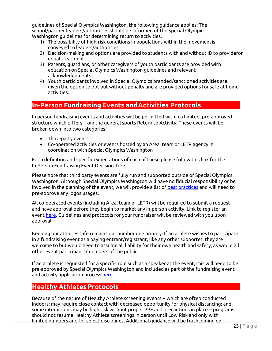guidelines of Special Olympics Washington, the following guidance applies: The school/partner leaders/authorities should be informed of the Special Olympics Washington guidelines for determining return to activities.

- 1) The possibility of high-risk conditions in populations within the movementis conveyed to leaders/authorities.
- 2) Decision-making and options are provided to students with and without ID to providefor equal treatment.
- 3) Parents, guardians, or other caregivers of youth participants are provided with education on Special Olympics Washington guidelines and relevant acknowledgements.
- 4) Youth participants involved in Special Olympics branded/sanctioned activities are given the option to opt out without penalty and are provided options for safe at home activities.

# <span id="page-22-0"></span>**In-Person Fundraising Events andActivities Protocols**

In person fundraising events and activities will be permitted within a limited, pre-approved structure which differs from the general sports Return to Activity. These events will be broken down into two categories:

- Third-party events
- Co-operated activities or events hosted by an Area, team or LETR agency in coordination with Special Olympics Washington

For a definition and specific expectations of each of these please follow this [link f](http://specialolympicswashington.org/wp-content/uploads/Final-RTA-Events-Decision-Tree.pdf)or the In-Person Fundraising Event Decision Tree.

Please note that third party events are fully run and supported outside of Special Olympics Washington. Although Special Olympics Washington will have no fiducial responsibility or be involved in the planning of the event, we will provide a list of [best practices](http://specialolympicswashington.org/wp-content/uploads/COVID-19-Training-in-a-safe-environment.pdf) and will need to pre-approve any logos usages.

All co-operated events (including Area, team or LETR) will be required to submit a request and have approval before they begin to market any in-person activity. Link to register an event [here. Guidelines and protocols for your fundraiser will be reviewed with you upon](https://app.smartsheet.com/b/form/547e1477b87c401081baeab81d0dc73b) [approval.](https://app.smartsheet.com/b/form/547e1477b87c401081baeab81d0dc73b)

Keeping our athletes safe remains our number one priority. If an athlete wishes to participate in a fundraising event as a paying entrant/registrant, like any other supporter, they are welcome to but would need to assume all liability for their own health and safety, as would all other event participants/members of the public.

If an athlete is requested for a specific role such as a speaker at the event, this will need to be pre-approved by Special Olympics Washington and included as part of the fundraising event and activity application proces[s here.](https://app.smartsheet.com/b/form/547e1477b87c401081baeab81d0dc73b)

# <span id="page-22-1"></span>**Healthy Athletes Protocols**

Because of the nature of Healthy Athlete screening events -- which are often conducted indoors; may require close contact with decreased opportunity for physical distancing; and some interactions may be high risk without proper PPE and precautions in place -- programs should not resume Healthy Athlete screenings in person until Low Risk and only with limited numbers and for select disciplines. Additional guidance will be forthcoming on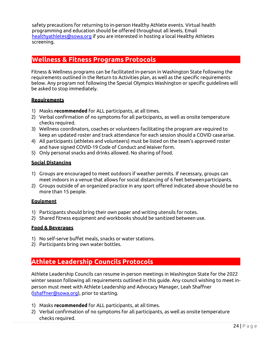safety precautions for returning to in-person Healthy Athlete events. Virtual health programming and education should be offered throughout all levels. Email [healthyathletes@sowa.org](mailto:healthyathletes@sowa.org) if you are interested in hosting a local Healthy Athletes screening.

## <span id="page-23-0"></span>**Wellness & Fitness Programs Protocols**

Fitness & Wellness programs can be facilitated in-person in Washington State following the requirements outlined in the Return to Activities plan, as well as the specific requirements below. Any program not following the Special Olympics Washington or specific guidelines will be asked to stop immediately.

#### **Requirements**

- 1) Masks **recommended** for ALL participants, at all times.
- 2) Verbal confirmation of no symptoms for all participants, as well as onsite temperature checks required.
- 3) Wellness coordinators, coaches or volunteers facilitating the program are required to keep an updated roster and track attendance for each session should a COVID casearise.
- 4) All participants (athletes and volunteers) must be listed on the team's approved roster and have signed COVID-19 Code of Conduct and Waiverform.
- 5) Only personal snacks and drinks allowed. No sharing of food.

#### **Social Distancing**

- 1) Groups are encouraged to meet outdoors if weather permits. If necessary, groups can meet indoors in a venue that allows for social distancing of 6 feet betweenparticipants.
- 2) Groups outside of an organized practice in any sport offered indicated above should be no more than 15 people.

#### **Equipment**

- 1) Participants should bring their own paper and writing utensils for notes.
- 2) Shared fitness equipment and workbooks should be sanitized between use.

#### **Food & Beverages**

- 1) No self-serve buffet meals, snacks or water stations.
- 2) Participants bring own water bottles.

# <span id="page-23-1"></span>**Athlete Leadership Councils Protocols**

Athlete Leadership Councils can resume in-person meetings in Washington State for the 2022 winter season following all requirements outlined in this guide. Any council wishing to meet inperson must meet with Athlete Leadership and Advocacy Manager, Leah Shaffner (lshaffner@sowa.org), prior to starting.

- 1) Masks **recommended** for ALL participants, at all times.
- 2) Verbal confirmation of no symptoms for all participants, as well as onsite temperature checks required.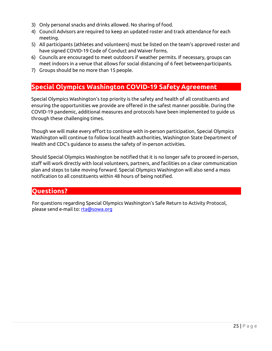- 3) Only personal snacks and drinks allowed. No sharing of food.
- 4) Council Advisors are required to keep an updated roster and track attendance for each meeting.
- 5) All participants (athletes and volunteers) must be listed on the team's approved roster and have signed COVID-19 Code of Conduct and Waiver forms.
- 6) Councils are encouraged to meet outdoors if weather permits. If necessary, groups can meet indoors in a venue that allows for social distancing of 6 feet betweenparticipants.
- 7) Groups should be no more than 15 people.

# <span id="page-24-0"></span>**Special Olympics Washington COVID-19 Safety Agreement**

Special Olympics Washington's top priority is the safety and health of all constituents and ensuring the opportunities we provide are offered in the safest manner possible. During the COVID-19 pandemic, additional measures and protocols have been implemented to guide us through these challenging times.

Though we will make every effort to continue with in-person participation, Special Olympics Washington will continue to follow local health authorities, Washington State Department of Health and CDC's guidance to assess the safety of in-person activities.

Should Special Olympics Washington be notified that it is no longer safe to proceed in-person, staff will work directly with local volunteers, partners, and facilities on a clear communication plan and steps to take moving forward. Special Olympics Washington will also send a mass notification to all constituents within 48 hours of being notified.

# <span id="page-24-1"></span>**Questions?**

For questions regarding Special Olympics Washington's Safe Return to Activity Protocol, please send e-mail to: [rta@sowa.org](mailto:rta@sowa.org)